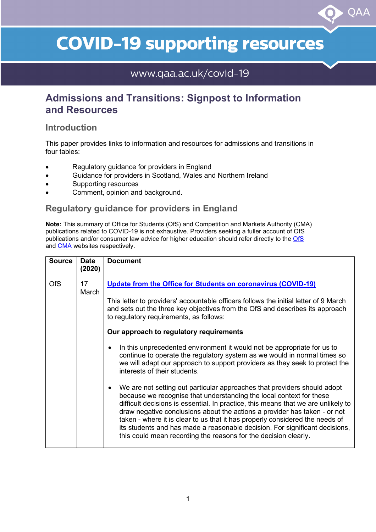# **COVID-19 supporting resources**

OAA

## www.qaa.ac.uk/covid-19

## **Admissions and Transitions: Signpost to Information and Resources**

#### **Introduction**

This paper provides links to information and resources for admissions and transitions in four tables:

- Regulatory guidance for providers in England
- Guidance for providers in Scotland, Wales and Northern Ireland
- Supporting resources
- Comment, opinion and background.

#### **Regulatory guidance for providers in England**

**Note:** This summary of Office for Students (OfS) and Competition and Markets Authority (CMA) publications related to COVID-19 is not exhaustive. Providers seeking a fuller account of OfS publications and/or consumer law advice for higher education should refer directly to the [OfS](https://www.officeforstudents.org.uk/publications/) and [CMA](http://www.gov.uk/government/publications/higher-education-consumer-law-advice-for-providers) websites respectively.

| <b>Source</b> | <b>Date</b><br>(2020) | <b>Document</b>                                                                                                                                                                                                                                                                                                                                                                                                                                                                                                                                                                                                                                                                                                                                                                                                                                                                                                                                                                                                                                                                                                                                                        |
|---------------|-----------------------|------------------------------------------------------------------------------------------------------------------------------------------------------------------------------------------------------------------------------------------------------------------------------------------------------------------------------------------------------------------------------------------------------------------------------------------------------------------------------------------------------------------------------------------------------------------------------------------------------------------------------------------------------------------------------------------------------------------------------------------------------------------------------------------------------------------------------------------------------------------------------------------------------------------------------------------------------------------------------------------------------------------------------------------------------------------------------------------------------------------------------------------------------------------------|
| <b>OfS</b>    | 17<br>March           | Update from the Office for Students on coronavirus (COVID-19)<br>This letter to providers' accountable officers follows the initial letter of 9 March<br>and sets out the three key objectives from the OfS and describes its approach<br>to regulatory requirements, as follows:<br>Our approach to regulatory requirements<br>In this unprecedented environment it would not be appropriate for us to<br>continue to operate the regulatory system as we would in normal times so<br>we will adapt our approach to support providers as they seek to protect the<br>interests of their students.<br>We are not setting out particular approaches that providers should adopt<br>$\bullet$<br>because we recognise that understanding the local context for these<br>difficult decisions is essential. In practice, this means that we are unlikely to<br>draw negative conclusions about the actions a provider has taken - or not<br>taken - where it is clear to us that it has properly considered the needs of<br>its students and has made a reasonable decision. For significant decisions,<br>this could mean recording the reasons for the decision clearly. |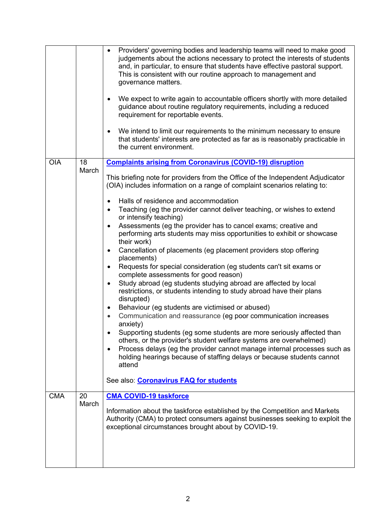|            |             | Providers' governing bodies and leadership teams will need to make good<br>$\bullet$<br>judgements about the actions necessary to protect the interests of students<br>and, in particular, to ensure that students have effective pastoral support.<br>This is consistent with our routine approach to management and<br>governance matters.<br>We expect to write again to accountable officers shortly with more detailed<br>$\bullet$<br>guidance about routine regulatory requirements, including a reduced<br>requirement for reportable events.<br>We intend to limit our requirements to the minimum necessary to ensure<br>$\bullet$<br>that students' interests are protected as far as is reasonably practicable in<br>the current environment.                                                                                                                                                                                                                                                                                                                                                                                                                                                                                                                                                                                                                                                                                                                                                               |
|------------|-------------|-------------------------------------------------------------------------------------------------------------------------------------------------------------------------------------------------------------------------------------------------------------------------------------------------------------------------------------------------------------------------------------------------------------------------------------------------------------------------------------------------------------------------------------------------------------------------------------------------------------------------------------------------------------------------------------------------------------------------------------------------------------------------------------------------------------------------------------------------------------------------------------------------------------------------------------------------------------------------------------------------------------------------------------------------------------------------------------------------------------------------------------------------------------------------------------------------------------------------------------------------------------------------------------------------------------------------------------------------------------------------------------------------------------------------------------------------------------------------------------------------------------------------|
| <b>OIA</b> | 18<br>March | <b>Complaints arising from Coronavirus (COVID-19) disruption</b><br>This briefing note for providers from the Office of the Independent Adjudicator<br>(OIA) includes information on a range of complaint scenarios relating to:<br>Halls of residence and accommodation<br>$\bullet$<br>Teaching (eg the provider cannot deliver teaching, or wishes to extend<br>$\bullet$<br>or intensify teaching)<br>Assessments (eg the provider has to cancel exams; creative and<br>$\bullet$<br>performing arts students may miss opportunities to exhibit or showcase<br>their work)<br>Cancellation of placements (eg placement providers stop offering<br>$\bullet$<br>placements)<br>Requests for special consideration (eg students can't sit exams or<br>$\bullet$<br>complete assessments for good reason)<br>Study abroad (eg students studying abroad are affected by local<br>٠<br>restrictions, or students intending to study abroad have their plans<br>disrupted)<br>Behaviour (eg students are victimised or abused)<br>$\bullet$<br>Communication and reassurance (eg poor communication increases<br>$\bullet$<br>anxiety)<br>Supporting students (eg some students are more seriously affected than<br>٠<br>others, or the provider's student welfare systems are overwhelmed)<br>Process delays (eg the provider cannot manage internal processes such as<br>$\bullet$<br>holding hearings because of staffing delays or because students cannot<br>attend<br>See also: <b>Coronavirus FAQ for students</b> |
| <b>CMA</b> | 20<br>March | <b>CMA COVID-19 taskforce</b><br>Information about the taskforce established by the Competition and Markets<br>Authority (CMA) to protect consumers against businesses seeking to exploit the<br>exceptional circumstances brought about by COVID-19.                                                                                                                                                                                                                                                                                                                                                                                                                                                                                                                                                                                                                                                                                                                                                                                                                                                                                                                                                                                                                                                                                                                                                                                                                                                                   |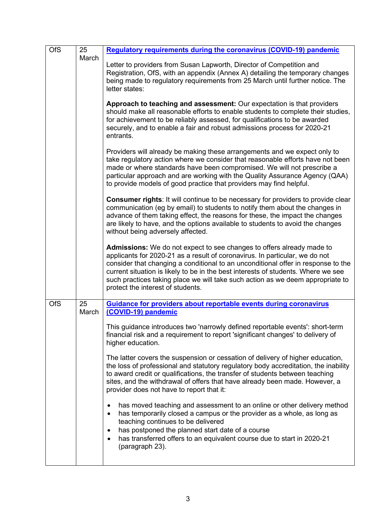| <b>OfS</b> | 25<br>March | <b>Regulatory requirements during the coronavirus (COVID-19) pandemic</b>                                                                                                                                                                                                                                                                                                                                                                             |
|------------|-------------|-------------------------------------------------------------------------------------------------------------------------------------------------------------------------------------------------------------------------------------------------------------------------------------------------------------------------------------------------------------------------------------------------------------------------------------------------------|
|            |             | Letter to providers from Susan Lapworth, Director of Competition and<br>Registration, OfS, with an appendix (Annex A) detailing the temporary changes<br>being made to regulatory requirements from 25 March until further notice. The<br>letter states:                                                                                                                                                                                              |
|            |             | Approach to teaching and assessment: Our expectation is that providers<br>should make all reasonable efforts to enable students to complete their studies,<br>for achievement to be reliably assessed, for qualifications to be awarded<br>securely, and to enable a fair and robust admissions process for 2020-21<br>entrants.                                                                                                                      |
|            |             | Providers will already be making these arrangements and we expect only to<br>take regulatory action where we consider that reasonable efforts have not been<br>made or where standards have been compromised. We will not prescribe a<br>particular approach and are working with the Quality Assurance Agency (QAA)<br>to provide models of good practice that providers may find helpful.                                                           |
|            |             | <b>Consumer rights: It will continue to be necessary for providers to provide clear</b><br>communication (eg by email) to students to notify them about the changes in<br>advance of them taking effect, the reasons for these, the impact the changes<br>are likely to have, and the options available to students to avoid the changes<br>without being adversely affected.                                                                         |
|            |             | Admissions: We do not expect to see changes to offers already made to<br>applicants for 2020-21 as a result of coronavirus. In particular, we do not<br>consider that changing a conditional to an unconditional offer in response to the<br>current situation is likely to be in the best interests of students. Where we see<br>such practices taking place we will take such action as we deem appropriate to<br>protect the interest of students. |
| <b>OfS</b> | 25<br>March | <b>Guidance for providers about reportable events during coronavirus</b><br>(COVID-19) pandemic                                                                                                                                                                                                                                                                                                                                                       |
|            |             | This guidance introduces two 'narrowly defined reportable events': short-term<br>financial risk and a requirement to report 'significant changes' to delivery of<br>higher education.                                                                                                                                                                                                                                                                 |
|            |             | The latter covers the suspension or cessation of delivery of higher education,<br>the loss of professional and statutory regulatory body accreditation, the inability<br>to award credit or qualifications, the transfer of students between teaching<br>sites, and the withdrawal of offers that have already been made. However, a<br>provider does not have to report that it:                                                                     |
|            |             | has moved teaching and assessment to an online or other delivery method<br>has temporarily closed a campus or the provider as a whole, as long as<br>$\bullet$<br>teaching continues to be delivered<br>has postponed the planned start date of a course<br>٠<br>has transferred offers to an equivalent course due to start in 2020-21<br>٠                                                                                                          |
|            |             | (paragraph 23).                                                                                                                                                                                                                                                                                                                                                                                                                                       |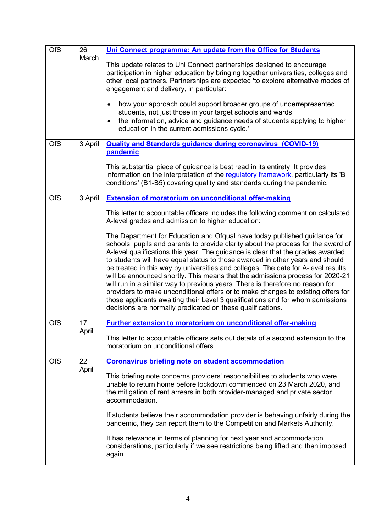| <b>OfS</b> | 26<br>March | Uni Connect programme: An update from the Office for Students<br>This update relates to Uni Connect partnerships designed to encourage<br>participation in higher education by bringing together universities, colleges and<br>other local partners. Partnerships are expected 'to explore alternative modes of<br>engagement and delivery, in particular:<br>how your approach could support broader groups of underrepresented<br>$\bullet$<br>students, not just those in your target schools and wards                                                                                                                                                                                                                                                                                                                                                                                                                                                                                                                             |
|------------|-------------|----------------------------------------------------------------------------------------------------------------------------------------------------------------------------------------------------------------------------------------------------------------------------------------------------------------------------------------------------------------------------------------------------------------------------------------------------------------------------------------------------------------------------------------------------------------------------------------------------------------------------------------------------------------------------------------------------------------------------------------------------------------------------------------------------------------------------------------------------------------------------------------------------------------------------------------------------------------------------------------------------------------------------------------|
|            |             | the information, advice and guidance needs of students applying to higher<br>$\bullet$<br>education in the current admissions cycle.'                                                                                                                                                                                                                                                                                                                                                                                                                                                                                                                                                                                                                                                                                                                                                                                                                                                                                                  |
| <b>OfS</b> | 3 April     | <b>Quality and Standards guidance during coronavirus (COVID-19)</b><br>pandemic<br>This substantial piece of guidance is best read in its entirety. It provides<br>information on the interpretation of the regulatory framework, particularly its 'B<br>conditions' (B1-B5) covering quality and standards during the pandemic.                                                                                                                                                                                                                                                                                                                                                                                                                                                                                                                                                                                                                                                                                                       |
| <b>OfS</b> | 3 April     | <b>Extension of moratorium on unconditional offer-making</b><br>This letter to accountable officers includes the following comment on calculated<br>A-level grades and admission to higher education:<br>The Department for Education and Ofqual have today published guidance for<br>schools, pupils and parents to provide clarity about the process for the award of<br>A-level qualifications this year. The guidance is clear that the grades awarded<br>to students will have equal status to those awarded in other years and should<br>be treated in this way by universities and colleges. The date for A-level results<br>will be announced shortly. This means that the admissions process for 2020-21<br>will run in a similar way to previous years. There is therefore no reason for<br>providers to make unconditional offers or to make changes to existing offers for<br>those applicants awaiting their Level 3 qualifications and for whom admissions<br>decisions are normally predicated on these qualifications. |
| <b>OfS</b> | 17<br>April | <b>Further extension to moratorium on unconditional offer-making</b><br>This letter to accountable officers sets out details of a second extension to the<br>moratorium on unconditional offers.                                                                                                                                                                                                                                                                                                                                                                                                                                                                                                                                                                                                                                                                                                                                                                                                                                       |
| <b>OfS</b> | 22<br>April | <b>Coronavirus briefing note on student accommodation</b><br>This briefing note concerns providers' responsibilities to students who were<br>unable to return home before lockdown commenced on 23 March 2020, and<br>the mitigation of rent arrears in both provider-managed and private sector<br>accommodation.<br>If students believe their accommodation provider is behaving unfairly during the<br>pandemic, they can report them to the Competition and Markets Authority.<br>It has relevance in terms of planning for next year and accommodation<br>considerations, particularly if we see restrictions being lifted and then imposed<br>again.                                                                                                                                                                                                                                                                                                                                                                             |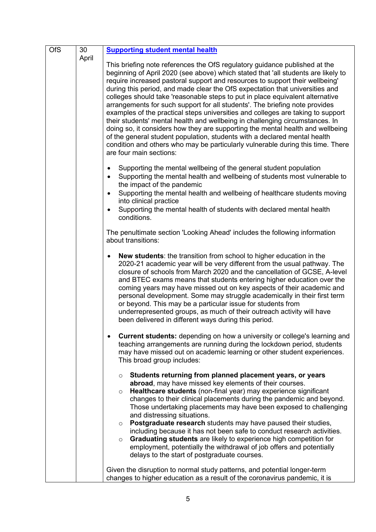| <b>OfS</b> | 30    | <b>Supporting student mental health</b>                                                                                                                                                                                                                                                                                                                                                                                                                                                                                                                                                                                                                                                                                                                                                                                                                                                                                                         |
|------------|-------|-------------------------------------------------------------------------------------------------------------------------------------------------------------------------------------------------------------------------------------------------------------------------------------------------------------------------------------------------------------------------------------------------------------------------------------------------------------------------------------------------------------------------------------------------------------------------------------------------------------------------------------------------------------------------------------------------------------------------------------------------------------------------------------------------------------------------------------------------------------------------------------------------------------------------------------------------|
|            | April | This briefing note references the OfS regulatory guidance published at the<br>beginning of April 2020 (see above) which stated that 'all students are likely to<br>require increased pastoral support and resources to support their wellbeing'<br>during this period, and made clear the OfS expectation that universities and<br>colleges should take 'reasonable steps to put in place equivalent alternative<br>arrangements for such support for all students'. The briefing note provides<br>examples of the practical steps universities and colleges are taking to support<br>their students' mental health and wellbeing in challenging circumstances. In<br>doing so, it considers how they are supporting the mental health and wellbeing<br>of the general student population, students with a declared mental health<br>condition and others who may be particularly vulnerable during this time. There<br>are four main sections: |
|            |       | Supporting the mental wellbeing of the general student population<br>$\bullet$<br>Supporting the mental health and wellbeing of students most vulnerable to<br>$\bullet$<br>the impact of the pandemic<br>Supporting the mental health and wellbeing of healthcare students moving<br>$\bullet$<br>into clinical practice<br>Supporting the mental health of students with declared mental health<br>conditions.                                                                                                                                                                                                                                                                                                                                                                                                                                                                                                                                |
|            |       | The penultimate section 'Looking Ahead' includes the following information<br>about transitions:                                                                                                                                                                                                                                                                                                                                                                                                                                                                                                                                                                                                                                                                                                                                                                                                                                                |
|            |       | <b>New students:</b> the transition from school to higher education in the<br>$\bullet$<br>2020-21 academic year will be very different from the usual pathway. The<br>closure of schools from March 2020 and the cancellation of GCSE, A-level<br>and BTEC exams means that students entering higher education over the<br>coming years may have missed out on key aspects of their academic and<br>personal development. Some may struggle academically in their first term<br>or beyond. This may be a particular issue for students from<br>underrepresented groups, as much of their outreach activity will have<br>been delivered in different ways during this period.                                                                                                                                                                                                                                                                   |
|            |       | <b>Current students:</b> depending on how a university or college's learning and<br>$\bullet$<br>teaching arrangements are running during the lockdown period, students<br>may have missed out on academic learning or other student experiences.<br>This broad group includes:                                                                                                                                                                                                                                                                                                                                                                                                                                                                                                                                                                                                                                                                 |
|            |       | Students returning from planned placement years, or years<br>$\circ$<br>abroad, may have missed key elements of their courses.<br>Healthcare students (non-final year) may experience significant<br>$\circ$<br>changes to their clinical placements during the pandemic and beyond.<br>Those undertaking placements may have been exposed to challenging<br>and distressing situations.<br>Postgraduate research students may have paused their studies,<br>$\circ$<br>including because it has not been safe to conduct research activities.<br>Graduating students are likely to experience high competition for<br>$\circ$<br>employment, potentially the withdrawal of job offers and potentially<br>delays to the start of postgraduate courses.                                                                                                                                                                                          |
|            |       | Given the disruption to normal study patterns, and potential longer-term<br>changes to higher education as a result of the coronavirus pandemic, it is                                                                                                                                                                                                                                                                                                                                                                                                                                                                                                                                                                                                                                                                                                                                                                                          |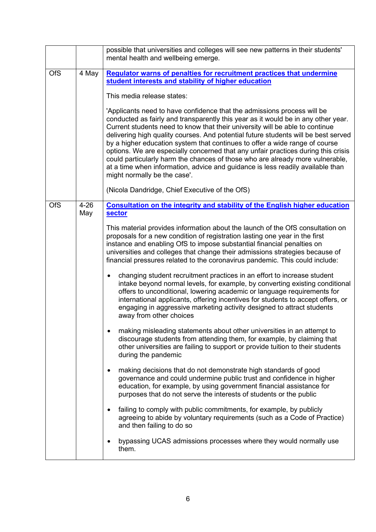|                               | possible that universities and colleges will see new patterns in their students'<br>mental health and wellbeing emerge.                                                                                                                                                                                                                                                                                                                                                                                                                                                                                                                                                                                                                                                                                                                                                                                                                                                                                                                                                                                                                                                                                                                                                                                                                                                                                                                                                                                                                                                                                                                                                                                                                                                                       |  |  |
|-------------------------------|-----------------------------------------------------------------------------------------------------------------------------------------------------------------------------------------------------------------------------------------------------------------------------------------------------------------------------------------------------------------------------------------------------------------------------------------------------------------------------------------------------------------------------------------------------------------------------------------------------------------------------------------------------------------------------------------------------------------------------------------------------------------------------------------------------------------------------------------------------------------------------------------------------------------------------------------------------------------------------------------------------------------------------------------------------------------------------------------------------------------------------------------------------------------------------------------------------------------------------------------------------------------------------------------------------------------------------------------------------------------------------------------------------------------------------------------------------------------------------------------------------------------------------------------------------------------------------------------------------------------------------------------------------------------------------------------------------------------------------------------------------------------------------------------------|--|--|
| <b>OfS</b><br>4 May           | <b>Regulator warns of penalties for recruitment practices that undermine</b><br>student interests and stability of higher education<br>This media release states:<br>'Applicants need to have confidence that the admissions process will be<br>conducted as fairly and transparently this year as it would be in any other year.<br>Current students need to know that their university will be able to continue<br>delivering high quality courses. And potential future students will be best served<br>by a higher education system that continues to offer a wide range of course<br>options. We are especially concerned that any unfair practices during this crisis<br>could particularly harm the chances of those who are already more vulnerable,<br>at a time when information, advice and guidance is less readily available than<br>might normally be the case'.<br>(Nicola Dandridge, Chief Executive of the OfS)                                                                                                                                                                                                                                                                                                                                                                                                                                                                                                                                                                                                                                                                                                                                                                                                                                                              |  |  |
| $4 - 26$<br><b>OfS</b><br>May | Consultation on the integrity and stability of the English higher education<br><b>sector</b><br>This material provides information about the launch of the OfS consultation on<br>proposals for a new condition of registration lasting one year in the first<br>instance and enabling OfS to impose substantial financial penalties on<br>universities and colleges that change their admissions strategies because of<br>financial pressures related to the coronavirus pandemic. This could include:<br>changing student recruitment practices in an effort to increase student<br>٠<br>intake beyond normal levels, for example, by converting existing conditional<br>offers to unconditional, lowering academic or language requirements for<br>international applicants, offering incentives for students to accept offers, or<br>engaging in aggressive marketing activity designed to attract students<br>away from other choices<br>making misleading statements about other universities in an attempt to<br>discourage students from attending them, for example, by claiming that<br>other universities are failing to support or provide tuition to their students<br>during the pandemic<br>making decisions that do not demonstrate high standards of good<br>$\bullet$<br>governance and could undermine public trust and confidence in higher<br>education, for example, by using government financial assistance for<br>purposes that do not serve the interests of students or the public<br>failing to comply with public commitments, for example, by publicly<br>$\bullet$<br>agreeing to abide by voluntary requirements (such as a Code of Practice)<br>and then failing to do so<br>bypassing UCAS admissions processes where they would normally use<br>٠<br>them. |  |  |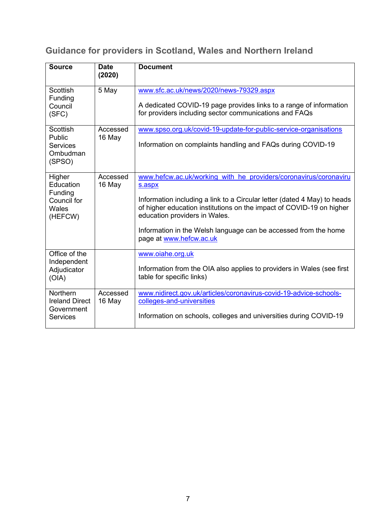# **Guidance for providers in Scotland, Wales and Northern Ireland**

| <b>Source</b>                                                             | <b>Date</b><br>(2020) | <b>Document</b>                                                                                                                                                                                                                                                                                                                                               |
|---------------------------------------------------------------------------|-----------------------|---------------------------------------------------------------------------------------------------------------------------------------------------------------------------------------------------------------------------------------------------------------------------------------------------------------------------------------------------------------|
| <b>Scottish</b><br>Funding<br>Council<br>(SFC)                            | 5 May                 | www.sfc.ac.uk/news/2020/news-79329.aspx<br>A dedicated COVID-19 page provides links to a range of information<br>for providers including sector communications and FAQs                                                                                                                                                                                       |
| <b>Scottish</b><br>Public<br><b>Services</b><br>Ombudman<br>(SPSO)        | Accessed<br>16 May    | www.spso.org.uk/covid-19-update-for-public-service-organisations<br>Information on complaints handling and FAQs during COVID-19                                                                                                                                                                                                                               |
| Higher<br>Education<br>Funding<br>Council for<br><b>Wales</b><br>(HEFCW)  | Accessed<br>16 May    | www.hefcw.ac.uk/working with he providers/coronavirus/coronaviru<br>s.aspx<br>Information including a link to a Circular letter (dated 4 May) to heads<br>of higher education institutions on the impact of COVID-19 on higher<br>education providers in Wales.<br>Information in the Welsh language can be accessed from the home<br>page at www.hefcw.ac.uk |
| Office of the<br>Independent<br>Adjudicator<br>(OIA)                      |                       | www.oiahe.org.uk<br>Information from the OIA also applies to providers in Wales (see first<br>table for specific links)                                                                                                                                                                                                                                       |
| <b>Northern</b><br><b>Ireland Direct</b><br>Government<br><b>Services</b> | Accessed<br>16 May    | www.nidirect.gov.uk/articles/coronavirus-covid-19-advice-schools-<br>colleges-and-universities<br>Information on schools, colleges and universities during COVID-19                                                                                                                                                                                           |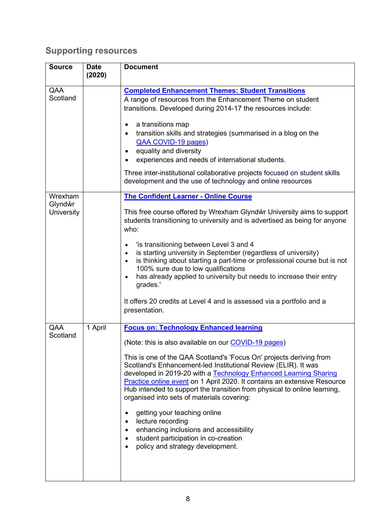# **Supporting resources**

| <b>Source</b>                    | <b>Date</b><br>(2020) | <b>Document</b>                                                                                                                                                                                                                                                                                                                                                                                                                                                                                                                                                                                                                                                                                                            |
|----------------------------------|-----------------------|----------------------------------------------------------------------------------------------------------------------------------------------------------------------------------------------------------------------------------------------------------------------------------------------------------------------------------------------------------------------------------------------------------------------------------------------------------------------------------------------------------------------------------------------------------------------------------------------------------------------------------------------------------------------------------------------------------------------------|
| QAA<br>Scotland                  |                       | <b>Completed Enhancement Themes: Student Transitions</b><br>A range of resources from the Enhancement Theme on student<br>transitions. Developed during 2014-17 the resources include:<br>a transitions map<br>$\bullet$<br>transition skills and strategies (summarised in a blog on the<br>$\bullet$<br>QAA COVID-19 pages)<br>equality and diversity<br>$\bullet$<br>experiences and needs of international students.<br>Three inter-institutional collaborative projects focused on student skills<br>development and the use of technology and online resources                                                                                                                                                       |
| Wrexham<br>Glyndŵr<br>University |                       | <b>The Confident Learner - Online Course</b><br>This free course offered by Wrexham Glyndŵr University aims to support<br>students transitioning to university and is advertised as being for anyone<br>who:<br>'is transitioning between Level 3 and 4<br>$\bullet$<br>is starting university in September (regardless of university)<br>$\bullet$<br>is thinking about starting a part-time or professional course but is not<br>$\bullet$<br>100% sure due to low qualifications<br>has already applied to university but needs to increase their entry<br>$\bullet$<br>grades.'<br>It offers 20 credits at Level 4 and is assessed via a portfolio and a<br>presentation.                                              |
| QAA<br>Scotland                  | 1 April               | <b>Focus on: Technology Enhanced learning</b><br>(Note: this is also available on our COVID-19 pages)<br>This is one of the QAA Scotland's 'Focus On' projects deriving from<br>Scotland's Enhancement-led Institutional Review (ELIR). It was<br>developed in 2019-20 with a Technology Enhanced Learning Sharing<br>Practice online event on 1 April 2020. It contains an extensive Resource<br>Hub intended to support the transition from physical to online learning,<br>organised into sets of materials covering:<br>getting your teaching online<br>$\bullet$<br>lecture recording<br>enhancing inclusions and accessibility<br>٠<br>student participation in co-creation<br>٠<br>policy and strategy development. |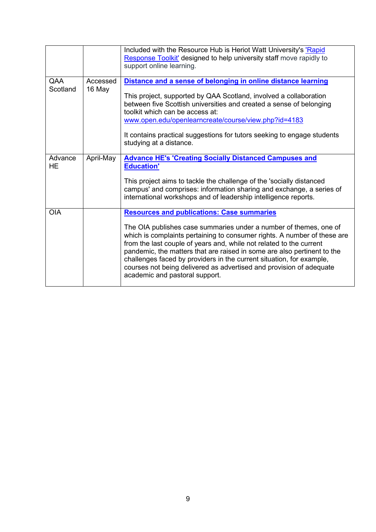|                      |                    | Included with the Resource Hub is Heriot Watt University's 'Rapid<br>Response Toolkit' designed to help university staff move rapidly to<br>support online learning.                                                                                                                                                                                                                                                                                                                                                                  |
|----------------------|--------------------|---------------------------------------------------------------------------------------------------------------------------------------------------------------------------------------------------------------------------------------------------------------------------------------------------------------------------------------------------------------------------------------------------------------------------------------------------------------------------------------------------------------------------------------|
| QAA<br>Scotland      | Accessed<br>16 May | Distance and a sense of belonging in online distance learning<br>This project, supported by QAA Scotland, involved a collaboration<br>between five Scottish universities and created a sense of belonging<br>toolkit which can be access at:<br>www.open.edu/openlearncreate/course/view.php?id=4183<br>It contains practical suggestions for tutors seeking to engage students<br>studying at a distance.                                                                                                                            |
| Advance<br><b>HE</b> | April-May          | <b>Advance HE's 'Creating Socially Distanced Campuses and</b><br><b>Education'</b><br>This project aims to tackle the challenge of the 'socially distanced<br>campus' and comprises: information sharing and exchange, a series of<br>international workshops and of leadership intelligence reports.                                                                                                                                                                                                                                 |
| <b>OIA</b>           |                    | <b>Resources and publications: Case summaries</b><br>The OIA publishes case summaries under a number of themes, one of<br>which is complaints pertaining to consumer rights. A number of these are<br>from the last couple of years and, while not related to the current<br>pandemic, the matters that are raised in some are also pertinent to the<br>challenges faced by providers in the current situation, for example,<br>courses not being delivered as advertised and provision of adequate<br>academic and pastoral support. |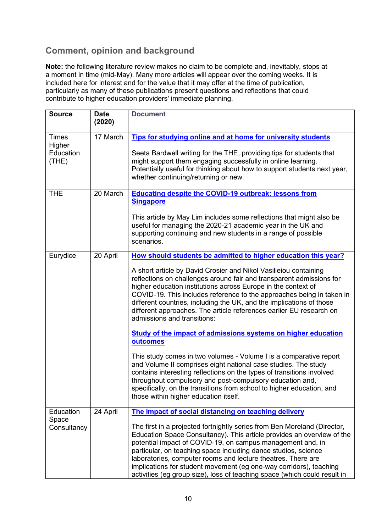### **Comment, opinion and background**

**Note:** the following literature review makes no claim to be complete and, inevitably, stops at a moment in time (mid-May). Many more articles will appear over the coming weeks. It is included here for interest and for the value that it may offer at the time of publication, particularly as many of these publications present questions and reflections that could contribute to higher education providers' immediate planning.

| <b>Source</b>                                | <b>Date</b><br>(2020) | <b>Document</b>                                                                                                                                                                                                                                                                                                                                                                                                                                                                                                                                                                                                                                                                                                                                                                                                                                                                                                                                                                                                |
|----------------------------------------------|-----------------------|----------------------------------------------------------------------------------------------------------------------------------------------------------------------------------------------------------------------------------------------------------------------------------------------------------------------------------------------------------------------------------------------------------------------------------------------------------------------------------------------------------------------------------------------------------------------------------------------------------------------------------------------------------------------------------------------------------------------------------------------------------------------------------------------------------------------------------------------------------------------------------------------------------------------------------------------------------------------------------------------------------------|
| <b>Times</b><br>Higher<br>Education<br>(THE) | 17 March              | Tips for studying online and at home for university students<br>Seeta Bardwell writing for the THE, providing tips for students that<br>might support them engaging successfully in online learning.<br>Potentially useful for thinking about how to support students next year,<br>whether continuing/returning or new.                                                                                                                                                                                                                                                                                                                                                                                                                                                                                                                                                                                                                                                                                       |
| <b>THE</b>                                   | 20 March              | <b>Educating despite the COVID-19 outbreak: lessons from</b><br><b>Singapore</b><br>This article by May Lim includes some reflections that might also be<br>useful for managing the 2020-21 academic year in the UK and<br>supporting continuing and new students in a range of possible<br>scenarios.                                                                                                                                                                                                                                                                                                                                                                                                                                                                                                                                                                                                                                                                                                         |
| Eurydice                                     | 20 April              | How should students be admitted to higher education this year?<br>A short article by David Crosier and Nikol Vasilieiou containing<br>reflections on challenges around fair and transparent admissions for<br>higher education institutions across Europe in the context of<br>COVID-19. This includes reference to the approaches being in taken in<br>different countries, including the UK, and the implications of those<br>different approaches. The article references earlier EU research on<br>admissions and transitions:<br>Study of the impact of admissions systems on higher education<br>outcomes<br>This study comes in two volumes - Volume I is a comparative report<br>and Volume II comprises eight national case studies. The study<br>contains interesting reflections on the types of transitions involved<br>throughout compulsory and post-compulsory education and,<br>specifically, on the transitions from school to higher education, and<br>those within higher education itself. |
| Education<br>Space<br>Consultancy            | 24 April              | The impact of social distancing on teaching delivery<br>The first in a projected fortnightly series from Ben Moreland (Director,<br>Education Space Consultancy). This article provides an overview of the<br>potential impact of COVID-19, on campus management and, in<br>particular, on teaching space including dance studios, science<br>laboratories, computer rooms and lecture theatres. There are<br>implications for student movement (eg one-way corridors), teaching<br>activities (eg group size), loss of teaching space (which could result in                                                                                                                                                                                                                                                                                                                                                                                                                                                  |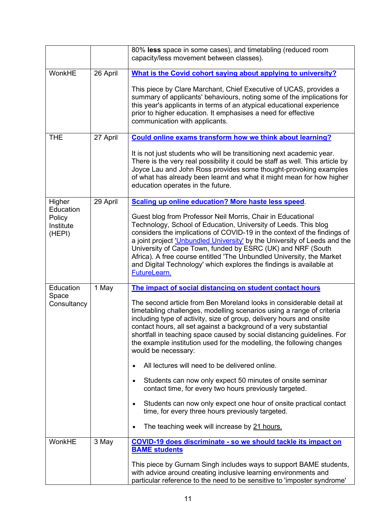|                                            |          | 80% less space in some cases), and timetabling (reduced room<br>capacity/less movement between classes).                                                                                                                                                                                                                                                                                                                                                                                                                      |
|--------------------------------------------|----------|-------------------------------------------------------------------------------------------------------------------------------------------------------------------------------------------------------------------------------------------------------------------------------------------------------------------------------------------------------------------------------------------------------------------------------------------------------------------------------------------------------------------------------|
| WonkHE                                     | 26 April | What is the Covid cohort saying about applying to university?                                                                                                                                                                                                                                                                                                                                                                                                                                                                 |
|                                            |          | This piece by Clare Marchant, Chief Executive of UCAS, provides a<br>summary of applicants' behaviours, noting some of the implications for<br>this year's applicants in terms of an atypical educational experience<br>prior to higher education. It emphasises a need for effective<br>communication with applicants.                                                                                                                                                                                                       |
| <b>THE</b>                                 | 27 April | Could online exams transform how we think about learning?                                                                                                                                                                                                                                                                                                                                                                                                                                                                     |
|                                            |          | It is not just students who will be transitioning next academic year.<br>There is the very real possibility it could be staff as well. This article by<br>Joyce Lau and John Ross provides some thought-provoking examples<br>of what has already been learnt and what it might mean for how higher<br>education operates in the future.                                                                                                                                                                                      |
| Higher                                     | 29 April | Scaling up online education? More haste less speed.                                                                                                                                                                                                                                                                                                                                                                                                                                                                           |
| Education<br>Policy<br>Institute<br>(HEPI) |          | Guest blog from Professor Neil Morris, Chair in Educational<br>Technology, School of Education, University of Leeds. This blog<br>considers the implications of COVID-19 in the context of the findings of<br>a joint project <i>'Unbundled University'</i> by the University of Leeds and the<br>University of Cape Town, funded by ESRC (UK) and NRF (South<br>Africa). A free course entitled 'The Unbundled University, the Market<br>and Digital Technology' which explores the findings is available at<br>FutureLearn. |
| Education                                  | 1 May    | The impact of social distancing on student contact hours                                                                                                                                                                                                                                                                                                                                                                                                                                                                      |
| Space<br>Consultancy                       |          | The second article from Ben Moreland looks in considerable detail at<br>timetabling challenges, modelling scenarios using a range of criteria<br>including type of activity, size of group, delivery hours and onsite<br>contact hours, all set against a background of a very substantial<br>shortfall in teaching space caused by social distancing guidelines. For<br>the example institution used for the modelling, the following changes<br>would be necessary:                                                         |
|                                            |          | All lectures will need to be delivered online.<br>$\bullet$                                                                                                                                                                                                                                                                                                                                                                                                                                                                   |
|                                            |          | Students can now only expect 50 minutes of onsite seminar<br>$\bullet$<br>contact time, for every two hours previously targeted.                                                                                                                                                                                                                                                                                                                                                                                              |
|                                            |          | Students can now only expect one hour of onsite practical contact<br>$\bullet$<br>time, for every three hours previously targeted.                                                                                                                                                                                                                                                                                                                                                                                            |
|                                            |          | The teaching week will increase by 21 hours.<br>$\bullet$                                                                                                                                                                                                                                                                                                                                                                                                                                                                     |
| WonkHE                                     | 3 May    | COVID-19 does discriminate - so we should tackle its impact on<br><b>BAME students</b>                                                                                                                                                                                                                                                                                                                                                                                                                                        |
|                                            |          | This piece by Gurnam Singh includes ways to support BAME students,<br>with advice around creating inclusive learning environments and<br>particular reference to the need to be sensitive to 'imposter syndrome'                                                                                                                                                                                                                                                                                                              |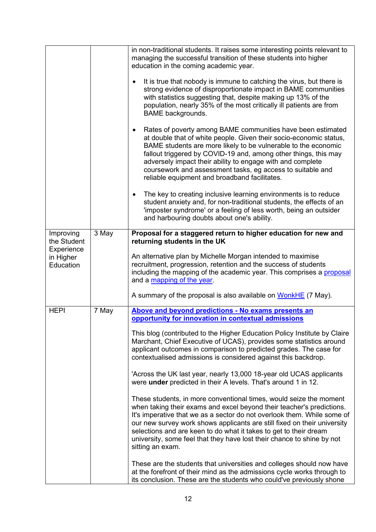|                                      |       | in non-traditional students. It raises some interesting points relevant to<br>managing the successful transition of these students into higher<br>education in the coming academic year.                                                                                                                                                                                                                                                                              |
|--------------------------------------|-------|-----------------------------------------------------------------------------------------------------------------------------------------------------------------------------------------------------------------------------------------------------------------------------------------------------------------------------------------------------------------------------------------------------------------------------------------------------------------------|
|                                      |       | It is true that nobody is immune to catching the virus, but there is<br>$\bullet$<br>strong evidence of disproportionate impact in BAME communities<br>with statistics suggesting that, despite making up 13% of the<br>population, nearly 35% of the most critically ill patients are from<br><b>BAME</b> backgrounds.                                                                                                                                               |
|                                      |       | Rates of poverty among BAME communities have been estimated<br>$\bullet$<br>at double that of white people. Given their socio-economic status,<br>BAME students are more likely to be vulnerable to the economic<br>fallout triggered by COVID-19 and, among other things, this may<br>adversely impact their ability to engage with and complete<br>coursework and assessment tasks, eg access to suitable and<br>reliable equipment and broadband facilitates.      |
|                                      |       | The key to creating inclusive learning environments is to reduce<br>$\bullet$<br>student anxiety and, for non-traditional students, the effects of an<br>'imposter syndrome' or a feeling of less worth, being an outsider<br>and harbouring doubts about one's ability.                                                                                                                                                                                              |
| Improving<br>the Student             | 3 May | Proposal for a staggered return to higher education for new and<br>returning students in the UK                                                                                                                                                                                                                                                                                                                                                                       |
| Experience<br>in Higher<br>Education |       | An alternative plan by Michelle Morgan intended to maximise<br>recruitment, progression, retention and the success of students<br>including the mapping of the academic year. This comprises a proposal<br>and a mapping of the year.                                                                                                                                                                                                                                 |
|                                      |       | A summary of the proposal is also available on WonkHE (7 May).                                                                                                                                                                                                                                                                                                                                                                                                        |
| <b>HEPI</b>                          | 7 May | Above and beyond predictions - No exams presents an<br>opportunity for innovation in contextual admissions                                                                                                                                                                                                                                                                                                                                                            |
|                                      |       | This blog (contributed to the Higher Education Policy Institute by Claire<br>Marchant, Chief Executive of UCAS), provides some statistics around<br>applicant outcomes in comparison to predicted grades. The case for<br>contextualised admissions is considered against this backdrop.                                                                                                                                                                              |
|                                      |       | 'Across the UK last year, nearly 13,000 18-year old UCAS applicants<br>were under predicted in their A levels. That's around 1 in 12.                                                                                                                                                                                                                                                                                                                                 |
|                                      |       | These students, in more conventional times, would seize the moment<br>when taking their exams and excel beyond their teacher's predictions.<br>It's imperative that we as a sector do not overlook them. While some of<br>our new survey work shows applicants are still fixed on their university<br>selections and are keen to do what it takes to get to their dream<br>university, some feel that they have lost their chance to shine by not<br>sitting an exam. |
|                                      |       | These are the students that universities and colleges should now have<br>at the forefront of their mind as the admissions cycle works through to<br>its conclusion. These are the students who could've previously shone                                                                                                                                                                                                                                              |